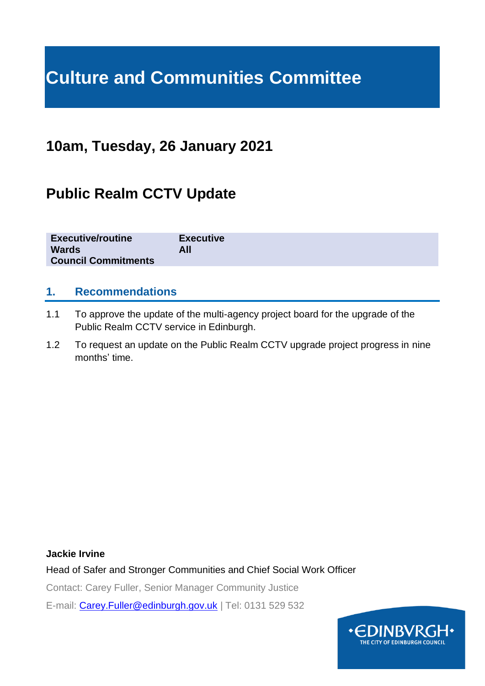# **Culture and Communities Committee**

# **10am, Tuesday, 26 January 2021**

# **Public Realm CCTV Update**

| <b>Executive/routine</b><br><b>Wards</b><br><b>Council Commitments</b> | <b>Executive</b><br>All |
|------------------------------------------------------------------------|-------------------------|
|------------------------------------------------------------------------|-------------------------|

#### **1. Recommendations**

- 1.1 To approve the update of the multi-agency project board for the upgrade of the Public Realm CCTV service in Edinburgh.
- 1.2 To request an update on the Public Realm CCTV upgrade project progress in nine months' time.

#### **Jackie Irvine**

Head of Safer and Stronger Communities and Chief Social Work Officer

Contact: Carey Fuller, Senior Manager Community Justice

E-mail: [Carey.Fuller@edinburgh.gov.uk](mailto:Carey.Fuller@edinburgh.gov.uk) | Tel: 0131 529 532

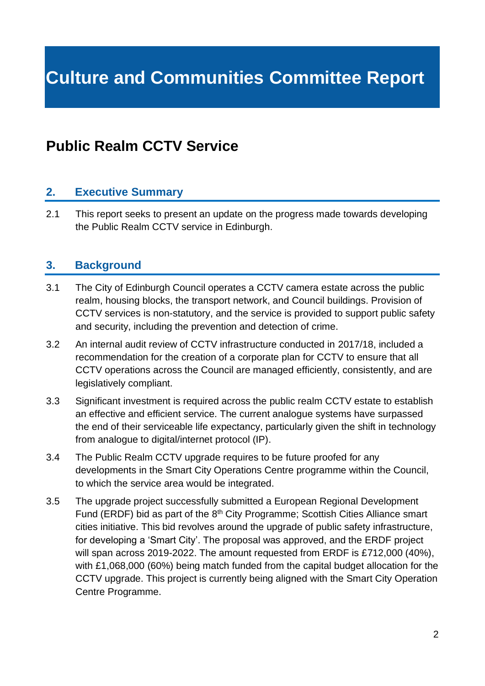# **Culture and Communities Committee Report**

## **Public Realm CCTV Service**

### **2. Executive Summary**

2.1 This report seeks to present an update on the progress made towards developing the Public Realm CCTV service in Edinburgh.

#### **3. Background**

- 3.1 The City of Edinburgh Council operates a CCTV camera estate across the public realm, housing blocks, the transport network, and Council buildings. Provision of CCTV services is non-statutory, and the service is provided to support public safety and security, including the prevention and detection of crime.
- 3.2 An internal audit review of CCTV infrastructure conducted in 2017/18, included a recommendation for the creation of a corporate plan for CCTV to ensure that all CCTV operations across the Council are managed efficiently, consistently, and are legislatively compliant.
- 3.3 Significant investment is required across the public realm CCTV estate to establish an effective and efficient service. The current analogue systems have surpassed the end of their serviceable life expectancy, particularly given the shift in technology from analogue to digital/internet protocol (IP).
- 3.4 The Public Realm CCTV upgrade requires to be future proofed for any developments in the Smart City Operations Centre programme within the Council, to which the service area would be integrated.
- 3.5 The upgrade project successfully submitted a European Regional Development Fund (ERDF) bid as part of the 8<sup>th</sup> City Programme; Scottish Cities Alliance smart cities initiative. This bid revolves around the upgrade of public safety infrastructure, for developing a 'Smart City'. The proposal was approved, and the ERDF project will span across 2019-2022. The amount requested from ERDF is £712,000 (40%), with £1,068,000 (60%) being match funded from the capital budget allocation for the CCTV upgrade. This project is currently being aligned with the Smart City Operation Centre Programme.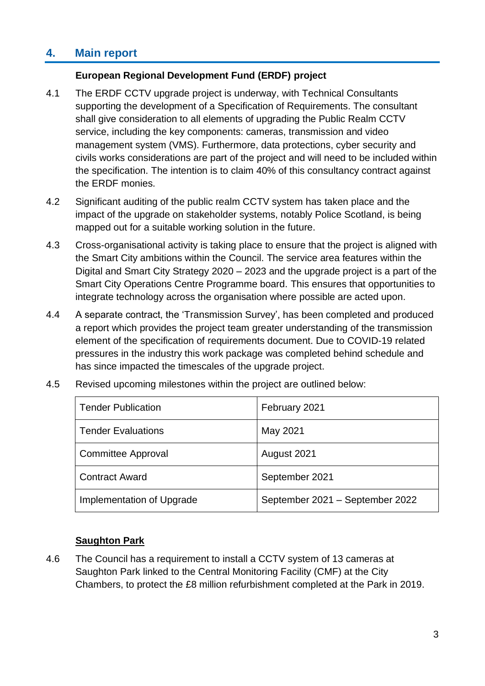## **4. Main report**

#### **European Regional Development Fund (ERDF) project**

- 4.1 The ERDF CCTV upgrade project is underway, with Technical Consultants supporting the development of a Specification of Requirements. The consultant shall give consideration to all elements of upgrading the Public Realm CCTV service, including the key components: cameras, transmission and video management system (VMS). Furthermore, data protections, cyber security and civils works considerations are part of the project and will need to be included within the specification. The intention is to claim 40% of this consultancy contract against the ERDF monies.
- 4.2 Significant auditing of the public realm CCTV system has taken place and the impact of the upgrade on stakeholder systems, notably Police Scotland, is being mapped out for a suitable working solution in the future.
- 4.3 Cross-organisational activity is taking place to ensure that the project is aligned with the Smart City ambitions within the Council. The service area features within the Digital and Smart City Strategy 2020 – 2023 and the upgrade project is a part of the Smart City Operations Centre Programme board. This ensures that opportunities to integrate technology across the organisation where possible are acted upon.
- 4.4 A separate contract, the 'Transmission Survey', has been completed and produced a report which provides the project team greater understanding of the transmission element of the specification of requirements document. Due to COVID-19 related pressures in the industry this work package was completed behind schedule and has since impacted the timescales of the upgrade project.

| <b>Tender Publication</b> | February 2021                   |
|---------------------------|---------------------------------|
| <b>Tender Evaluations</b> | May 2021                        |
| <b>Committee Approval</b> | August 2021                     |
| <b>Contract Award</b>     | September 2021                  |
| Implementation of Upgrade | September 2021 - September 2022 |

4.5 Revised upcoming milestones within the project are outlined below:

#### **Saughton Park**

4.6 The Council has a requirement to install a CCTV system of 13 cameras at Saughton Park linked to the Central Monitoring Facility (CMF) at the City Chambers, to protect the £8 million refurbishment completed at the Park in 2019.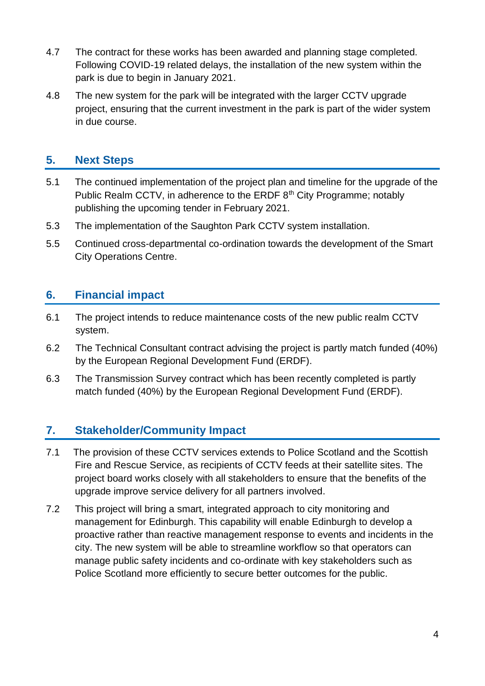- 4.7 The contract for these works has been awarded and planning stage completed. Following COVID-19 related delays, the installation of the new system within the park is due to begin in January 2021.
- 4.8 The new system for the park will be integrated with the larger CCTV upgrade project, ensuring that the current investment in the park is part of the wider system in due course.

## **5. Next Steps**

- 5.1 The continued implementation of the project plan and timeline for the upgrade of the Public Realm CCTV, in adherence to the ERDF 8<sup>th</sup> City Programme; notably publishing the upcoming tender in February 2021.
- 5.3 The implementation of the Saughton Park CCTV system installation.
- 5.5 Continued cross-departmental co-ordination towards the development of the Smart City Operations Centre.

## **6. Financial impact**

- 6.1 The project intends to reduce maintenance costs of the new public realm CCTV system.
- 6.2 The Technical Consultant contract advising the project is partly match funded (40%) by the European Regional Development Fund (ERDF).
- 6.3 The Transmission Survey contract which has been recently completed is partly match funded (40%) by the European Regional Development Fund (ERDF).

### **7. Stakeholder/Community Impact**

- 7.1 The provision of these CCTV services extends to Police Scotland and the Scottish Fire and Rescue Service, as recipients of CCTV feeds at their satellite sites. The project board works closely with all stakeholders to ensure that the benefits of the upgrade improve service delivery for all partners involved.
- 7.2 This project will bring a smart, integrated approach to city monitoring and management for Edinburgh. This capability will enable Edinburgh to develop a proactive rather than reactive management response to events and incidents in the city. The new system will be able to streamline workflow so that operators can manage public safety incidents and co-ordinate with key stakeholders such as Police Scotland more efficiently to secure better outcomes for the public.